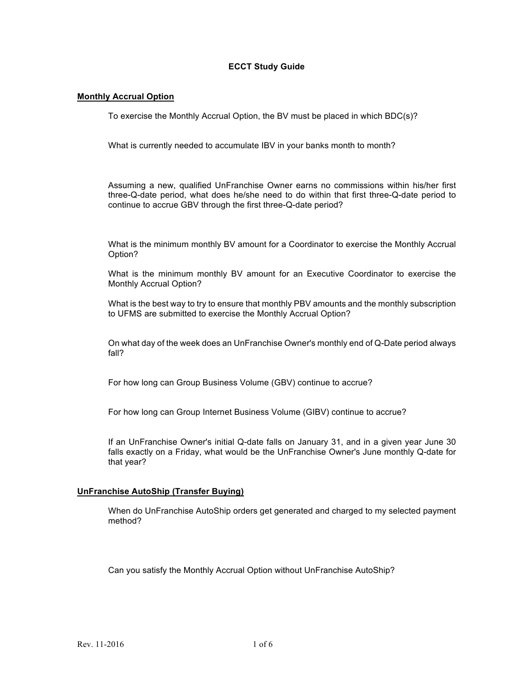# **ECCT Study Guide**

# **Monthly Accrual Option**

To exercise the Monthly Accrual Option, the BV must be placed in which BDC(s)?

What is currently needed to accumulate IBV in your banks month to month?

 Assuming a new, qualified UnFranchise Owner earns no commissions within his/her first three-Q-date period, what does he/she need to do within that first three-Q-date period to continue to accrue GBV through the first three-Q-date period?

 What is the minimum monthly BV amount for a Coordinator to exercise the Monthly Accrual Option?

 What is the minimum monthly BV amount for an Executive Coordinator to exercise the Monthly Accrual Option?

 What is the best way to try to ensure that monthly PBV amounts and the monthly subscription to UFMS are submitted to exercise the Monthly Accrual Option?

 On what day of the week does an UnFranchise Owner's monthly end of Q-Date period always fall?

For how long can Group Business Volume (GBV) continue to accrue?

For how long can Group Internet Business Volume (GIBV) continue to accrue?

If an UnFranchise Owner's initial Q-date falls on January 31, and in a given year June 30 falls exactly on a Friday, what would be the UnFranchise Owner's June monthly Q-date for that year?

## **UnFranchise AutoShip (Transfer Buying)**

When do UnFranchise AutoShip orders get generated and charged to my selected payment method?

Can you satisfy the Monthly Accrual Option without UnFranchise AutoShip?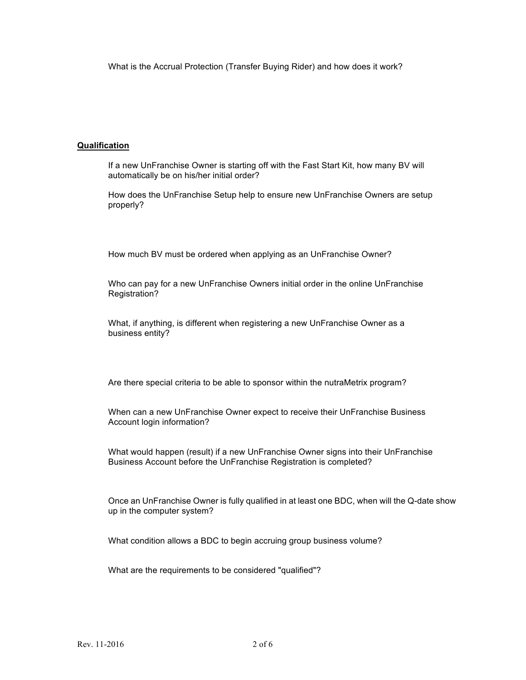What is the Accrual Protection (Transfer Buying Rider) and how does it work?

# **Qualification**

If a new UnFranchise Owner is starting off with the Fast Start Kit, how many BV will automatically be on his/her initial order?

How does the UnFranchise Setup help to ensure new UnFranchise Owners are setup properly?

How much BV must be ordered when applying as an UnFranchise Owner?

Who can pay for a new UnFranchise Owners initial order in the online UnFranchise Registration?

What, if anything, is different when registering a new UnFranchise Owner as a business entity?

Are there special criteria to be able to sponsor within the nutraMetrix program?

When can a new UnFranchise Owner expect to receive their UnFranchise Business Account login information?

What would happen (result) if a new UnFranchise Owner signs into their UnFranchise Business Account before the UnFranchise Registration is completed?

Once an UnFranchise Owner is fully qualified in at least one BDC, when will the Q-date show up in the computer system?

What condition allows a BDC to begin accruing group business volume?

What are the requirements to be considered "qualified"?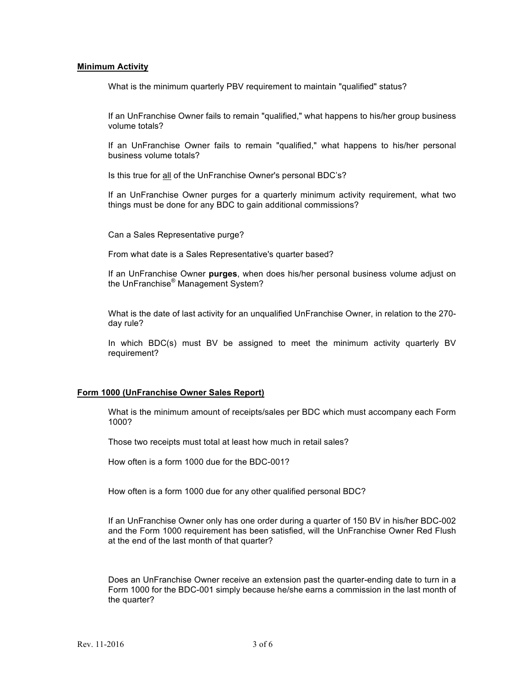### **Minimum Activity**

What is the minimum quarterly PBV requirement to maintain "qualified" status?

If an UnFranchise Owner fails to remain "qualified," what happens to his/her group business volume totals?

 If an UnFranchise Owner fails to remain "qualified," what happens to his/her personal business volume totals?

Is this true for all of the UnFranchise Owner's personal BDC's?

 If an UnFranchise Owner purges for a quarterly minimum activity requirement, what two things must be done for any BDC to gain additional commissions?

Can a Sales Representative purge?

From what date is a Sales Representative's quarter based?

 If an UnFranchise Owner **purges**, when does his/her personal business volume adjust on the UnFranchise® Management System?

What is the date of last activity for an unqualified UnFranchise Owner, in relation to the 270 day rule?

 In which BDC(s) must BV be assigned to meet the minimum activity quarterly BV requirement?

## **Form 1000 (UnFranchise Owner Sales Report)**

What is the minimum amount of receipts/sales per BDC which must accompany each Form 1000?

Those two receipts must total at least how much in retail sales?

How often is a form 1000 due for the BDC-001?

How often is a form 1000 due for any other qualified personal BDC?

If an UnFranchise Owner only has one order during a quarter of 150 BV in his/her BDC-002 and the Form 1000 requirement has been satisfied, will the UnFranchise Owner Red Flush at the end of the last month of that quarter?

 Does an UnFranchise Owner receive an extension past the quarter-ending date to turn in a Form 1000 for the BDC-001 simply because he/she earns a commission in the last month of the quarter?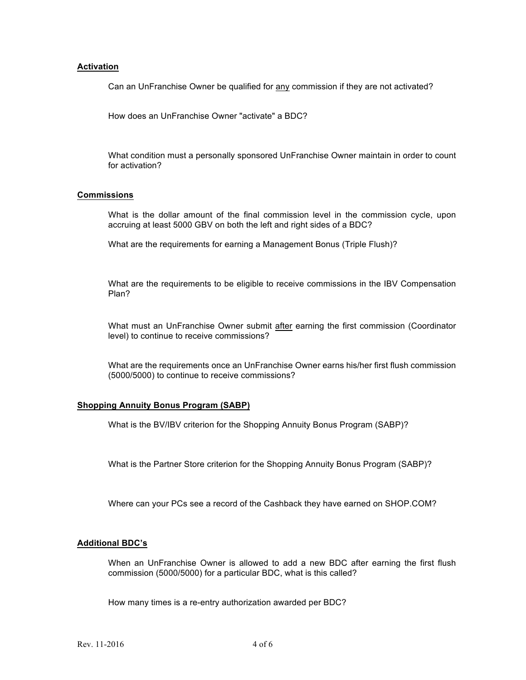### **Activation**

Can an UnFranchise Owner be qualified for any commission if they are not activated?

How does an UnFranchise Owner "activate" a BDC?

 What condition must a personally sponsored UnFranchise Owner maintain in order to count for activation?

#### **Commissions**

 What is the dollar amount of the final commission level in the commission cycle, upon accruing at least 5000 GBV on both the left and right sides of a BDC?

What are the requirements for earning a Management Bonus (Triple Flush)?

What are the requirements to be eligible to receive commissions in the IBV Compensation Plan?

What must an UnFranchise Owner submit after earning the first commission (Coordinator level) to continue to receive commissions?

What are the requirements once an UnFranchise Owner earns his/her first flush commission (5000/5000) to continue to receive commissions?

#### **Shopping Annuity Bonus Program (SABP)**

What is the BV/IBV criterion for the Shopping Annuity Bonus Program (SABP)?

What is the Partner Store criterion for the Shopping Annuity Bonus Program (SABP)?

Where can your PCs see a record of the Cashback they have earned on SHOP.COM?

# **Additional BDC's**

 When an UnFranchise Owner is allowed to add a new BDC after earning the first flush commission (5000/5000) for a particular BDC, what is this called?

How many times is a re-entry authorization awarded per BDC?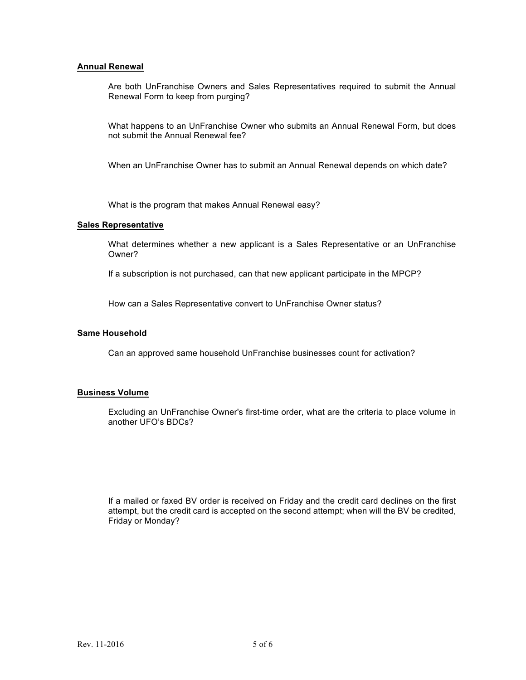## **Annual Renewal**

 Are both UnFranchise Owners and Sales Representatives required to submit the Annual Renewal Form to keep from purging?

 What happens to an UnFranchise Owner who submits an Annual Renewal Form, but does not submit the Annual Renewal fee?

When an UnFranchise Owner has to submit an Annual Renewal depends on which date?

What is the program that makes Annual Renewal easy?

### **Sales Representative**

 What determines whether a new applicant is a Sales Representative or an UnFranchise Owner?

If a subscription is not purchased, can that new applicant participate in the MPCP?

How can a Sales Representative convert to UnFranchise Owner status?

### **Same Household**

Can an approved same household UnFranchise businesses count for activation?

## **Business Volume**

 Excluding an UnFranchise Owner's first-time order, what are the criteria to place volume in another UFO's BDCs?

 If a mailed or faxed BV order is received on Friday and the credit card declines on the first attempt, but the credit card is accepted on the second attempt; when will the BV be credited, Friday or Monday?